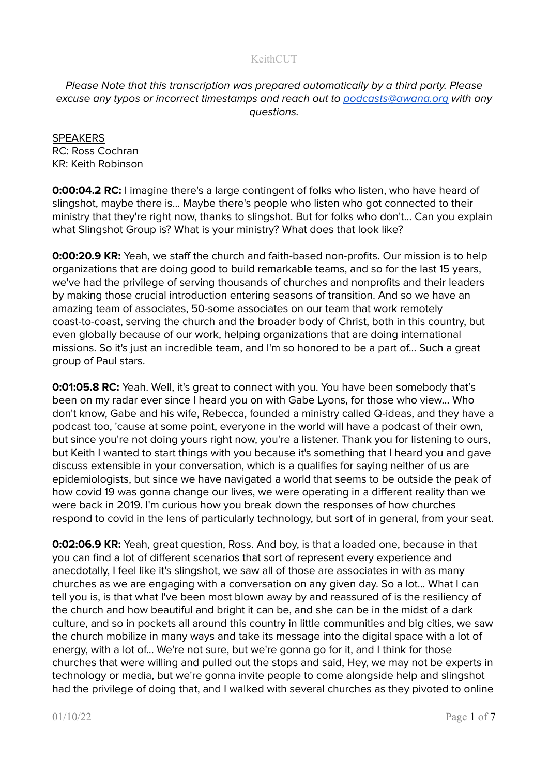Please Note that this transcription was prepared automatically by a third party. Please excuse any typos or incorrect timestamps and reach out to [podcasts@awana.org](mailto:podcasts@awana.org) with any questions.

**SPEAKERS** RC: Ross Cochran KR: Keith Robinson

**0:00:04.2 RC:** I imagine there's a large contingent of folks who listen, who have heard of slingshot, maybe there is... Maybe there's people who listen who got connected to their ministry that they're right now, thanks to slingshot. But for folks who don't... Can you explain what Slingshot Group is? What is your ministry? What does that look like?

**0:00:20.9 KR:** Yeah, we staff the church and faith-based non-profits. Our mission is to help organizations that are doing good to build remarkable teams, and so for the last 15 years, we've had the privilege of serving thousands of churches and nonprofits and their leaders by making those crucial introduction entering seasons of transition. And so we have an amazing team of associates, 50-some associates on our team that work remotely coast-to-coast, serving the church and the broader body of Christ, both in this country, but even globally because of our work, helping organizations that are doing international missions. So it's just an incredible team, and I'm so honored to be a part of... Such a great group of Paul stars.

**0:01:05.8 RC:** Yeah. Well, it's great to connect with you. You have been somebody that's been on my radar ever since I heard you on with Gabe Lyons, for those who view... Who don't know, Gabe and his wife, Rebecca, founded a ministry called Q-ideas, and they have a podcast too, 'cause at some point, everyone in the world will have a podcast of their own, but since you're not doing yours right now, you're a listener. Thank you for listening to ours, but Keith I wanted to start things with you because it's something that I heard you and gave discuss extensible in your conversation, which is a qualifies for saying neither of us are epidemiologists, but since we have navigated a world that seems to be outside the peak of how covid 19 was gonna change our lives, we were operating in a different reality than we were back in 2019. I'm curious how you break down the responses of how churches respond to covid in the lens of particularly technology, but sort of in general, from your seat.

**0:02:06.9 KR:** Yeah, great question, Ross. And boy, is that a loaded one, because in that you can find a lot of different scenarios that sort of represent every experience and anecdotally, I feel like it's slingshot, we saw all of those are associates in with as many churches as we are engaging with a conversation on any given day. So a lot... What I can tell you is, is that what I've been most blown away by and reassured of is the resiliency of the church and how beautiful and bright it can be, and she can be in the midst of a dark culture, and so in pockets all around this country in little communities and big cities, we saw the church mobilize in many ways and take its message into the digital space with a lot of energy, with a lot of... We're not sure, but we're gonna go for it, and I think for those churches that were willing and pulled out the stops and said, Hey, we may not be experts in technology or media, but we're gonna invite people to come alongside help and slingshot had the privilege of doing that, and I walked with several churches as they pivoted to online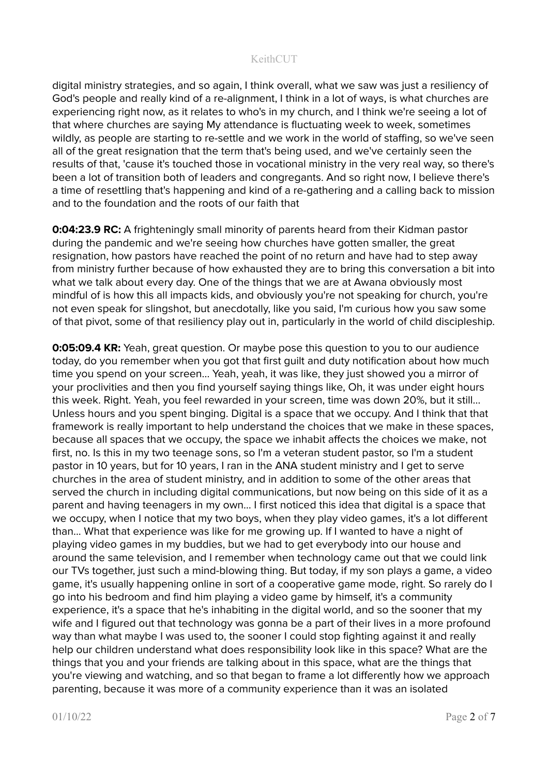digital ministry strategies, and so again, I think overall, what we saw was just a resiliency of God's people and really kind of a re-alignment, I think in a lot of ways, is what churches are experiencing right now, as it relates to who's in my church, and I think we're seeing a lot of that where churches are saying My attendance is fluctuating week to week, sometimes wildly, as people are starting to re-settle and we work in the world of staffing, so we've seen all of the great resignation that the term that's being used, and we've certainly seen the results of that, 'cause it's touched those in vocational ministry in the very real way, so there's been a lot of transition both of leaders and congregants. And so right now, I believe there's a time of resettling that's happening and kind of a re-gathering and a calling back to mission and to the foundation and the roots of our faith that

**0:04:23.9 RC:** A frighteningly small minority of parents heard from their Kidman pastor during the pandemic and we're seeing how churches have gotten smaller, the great resignation, how pastors have reached the point of no return and have had to step away from ministry further because of how exhausted they are to bring this conversation a bit into what we talk about every day. One of the things that we are at Awana obviously most mindful of is how this all impacts kids, and obviously you're not speaking for church, you're not even speak for slingshot, but anecdotally, like you said, I'm curious how you saw some of that pivot, some of that resiliency play out in, particularly in the world of child discipleship.

**0:05:09.4 KR:** Yeah, great question. Or maybe pose this question to you to our audience today, do you remember when you got that first guilt and duty notification about how much time you spend on your screen... Yeah, yeah, it was like, they just showed you a mirror of your proclivities and then you find yourself saying things like, Oh, it was under eight hours this week. Right. Yeah, you feel rewarded in your screen, time was down 20%, but it still... Unless hours and you spent binging. Digital is a space that we occupy. And I think that that framework is really important to help understand the choices that we make in these spaces, because all spaces that we occupy, the space we inhabit affects the choices we make, not first, no. Is this in my two teenage sons, so I'm a veteran student pastor, so I'm a student pastor in 10 years, but for 10 years, I ran in the ANA student ministry and I get to serve churches in the area of student ministry, and in addition to some of the other areas that served the church in including digital communications, but now being on this side of it as a parent and having teenagers in my own… I first noticed this idea that digital is a space that we occupy, when I notice that my two boys, when they play video games, it's a lot different than... What that experience was like for me growing up. If I wanted to have a night of playing video games in my buddies, but we had to get everybody into our house and around the same television, and I remember when technology came out that we could link our TVs together, just such a mind-blowing thing. But today, if my son plays a game, a video game, it's usually happening online in sort of a cooperative game mode, right. So rarely do I go into his bedroom and find him playing a video game by himself, it's a community experience, it's a space that he's inhabiting in the digital world, and so the sooner that my wife and I figured out that technology was gonna be a part of their lives in a more profound way than what maybe I was used to, the sooner I could stop fighting against it and really help our children understand what does responsibility look like in this space? What are the things that you and your friends are talking about in this space, what are the things that you're viewing and watching, and so that began to frame a lot differently how we approach parenting, because it was more of a community experience than it was an isolated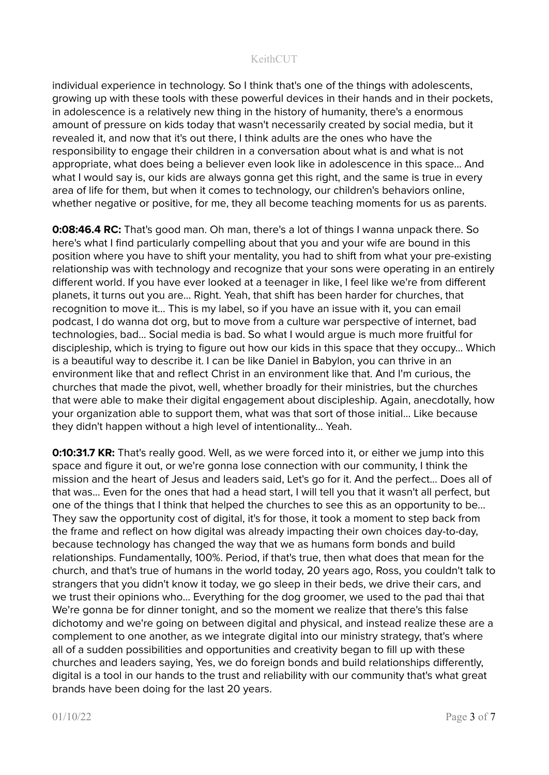individual experience in technology. So I think that's one of the things with adolescents, growing up with these tools with these powerful devices in their hands and in their pockets, in adolescence is a relatively new thing in the history of humanity, there's a enormous amount of pressure on kids today that wasn't necessarily created by social media, but it revealed it, and now that it's out there, I think adults are the ones who have the responsibility to engage their children in a conversation about what is and what is not appropriate, what does being a believer even look like in adolescence in this space... And what I would say is, our kids are always gonna get this right, and the same is true in every area of life for them, but when it comes to technology, our children's behaviors online, whether negative or positive, for me, they all become teaching moments for us as parents.

**0:08:46.4 RC:** That's good man. Oh man, there's a lot of things I wanna unpack there. So here's what I find particularly compelling about that you and your wife are bound in this position where you have to shift your mentality, you had to shift from what your pre-existing relationship was with technology and recognize that your sons were operating in an entirely different world. If you have ever looked at a teenager in like, I feel like we're from different planets, it turns out you are... Right. Yeah, that shift has been harder for churches, that recognition to move it... This is my label, so if you have an issue with it, you can email podcast, I do wanna dot org, but to move from a culture war perspective of internet, bad technologies, bad... Social media is bad. So what I would argue is much more fruitful for discipleship, which is trying to figure out how our kids in this space that they occupy... Which is a beautiful way to describe it. I can be like Daniel in Babylon, you can thrive in an environment like that and reflect Christ in an environment like that. And I'm curious, the churches that made the pivot, well, whether broadly for their ministries, but the churches that were able to make their digital engagement about discipleship. Again, anecdotally, how your organization able to support them, what was that sort of those initial... Like because they didn't happen without a high level of intentionality... Yeah.

**0:10:31.7 KR:** That's really good. Well, as we were forced into it, or either we jump into this space and figure it out, or we're gonna lose connection with our community, I think the mission and the heart of Jesus and leaders said, Let's go for it. And the perfect... Does all of that was... Even for the ones that had a head start, I will tell you that it wasn't all perfect, but one of the things that I think that helped the churches to see this as an opportunity to be... They saw the opportunity cost of digital, it's for those, it took a moment to step back from the frame and reflect on how digital was already impacting their own choices day-to-day, because technology has changed the way that we as humans form bonds and build relationships. Fundamentally, 100%. Period, if that's true, then what does that mean for the church, and that's true of humans in the world today, 20 years ago, Ross, you couldn't talk to strangers that you didn't know it today, we go sleep in their beds, we drive their cars, and we trust their opinions who... Everything for the dog groomer, we used to the pad thai that We're gonna be for dinner tonight, and so the moment we realize that there's this false dichotomy and we're going on between digital and physical, and instead realize these are a complement to one another, as we integrate digital into our ministry strategy, that's where all of a sudden possibilities and opportunities and creativity began to fill up with these churches and leaders saying, Yes, we do foreign bonds and build relationships differently, digital is a tool in our hands to the trust and reliability with our community that's what great brands have been doing for the last 20 years.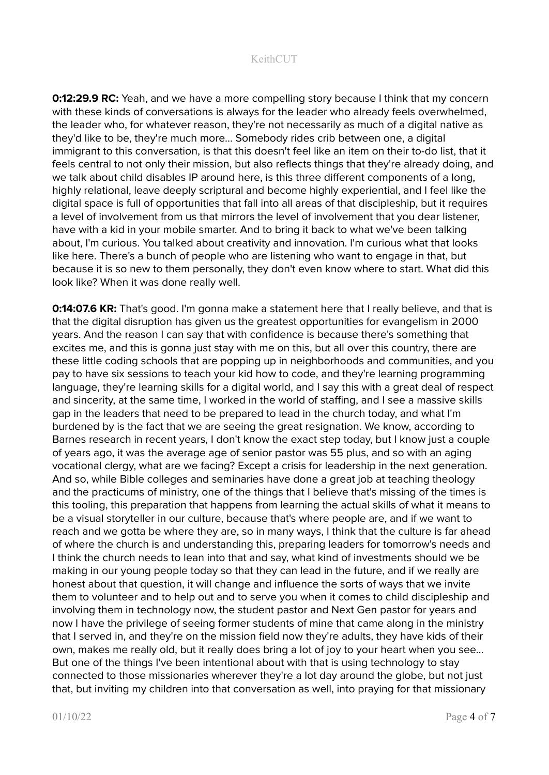**0:12:29.9 RC:** Yeah, and we have a more compelling story because I think that my concern with these kinds of conversations is always for the leader who already feels overwhelmed, the leader who, for whatever reason, they're not necessarily as much of a digital native as they'd like to be, they're much more... Somebody rides crib between one, a digital immigrant to this conversation, is that this doesn't feel like an item on their to-do list, that it feels central to not only their mission, but also reflects things that they're already doing, and we talk about child disables IP around here, is this three different components of a long, highly relational, leave deeply scriptural and become highly experiential, and I feel like the digital space is full of opportunities that fall into all areas of that discipleship, but it requires a level of involvement from us that mirrors the level of involvement that you dear listener, have with a kid in your mobile smarter. And to bring it back to what we've been talking about, I'm curious. You talked about creativity and innovation. I'm curious what that looks like here. There's a bunch of people who are listening who want to engage in that, but because it is so new to them personally, they don't even know where to start. What did this look like? When it was done really well.

**0:14:07.6 KR:** That's good. I'm gonna make a statement here that I really believe, and that is that the digital disruption has given us the greatest opportunities for evangelism in 2000 years. And the reason I can say that with confidence is because there's something that excites me, and this is gonna just stay with me on this, but all over this country, there are these little coding schools that are popping up in neighborhoods and communities, and you pay to have six sessions to teach your kid how to code, and they're learning programming language, they're learning skills for a digital world, and I say this with a great deal of respect and sincerity, at the same time, I worked in the world of staffing, and I see a massive skills gap in the leaders that need to be prepared to lead in the church today, and what I'm burdened by is the fact that we are seeing the great resignation. We know, according to Barnes research in recent years, I don't know the exact step today, but I know just a couple of years ago, it was the average age of senior pastor was 55 plus, and so with an aging vocational clergy, what are we facing? Except a crisis for leadership in the next generation. And so, while Bible colleges and seminaries have done a great job at teaching theology and the practicums of ministry, one of the things that I believe that's missing of the times is this tooling, this preparation that happens from learning the actual skills of what it means to be a visual storyteller in our culture, because that's where people are, and if we want to reach and we gotta be where they are, so in many ways, I think that the culture is far ahead of where the church is and understanding this, preparing leaders for tomorrow's needs and I think the church needs to lean into that and say, what kind of investments should we be making in our young people today so that they can lead in the future, and if we really are honest about that question, it will change and influence the sorts of ways that we invite them to volunteer and to help out and to serve you when it comes to child discipleship and involving them in technology now, the student pastor and Next Gen pastor for years and now I have the privilege of seeing former students of mine that came along in the ministry that I served in, and they're on the mission field now they're adults, they have kids of their own, makes me really old, but it really does bring a lot of joy to your heart when you see… But one of the things I've been intentional about with that is using technology to stay connected to those missionaries wherever they're a lot day around the globe, but not just that, but inviting my children into that conversation as well, into praying for that missionary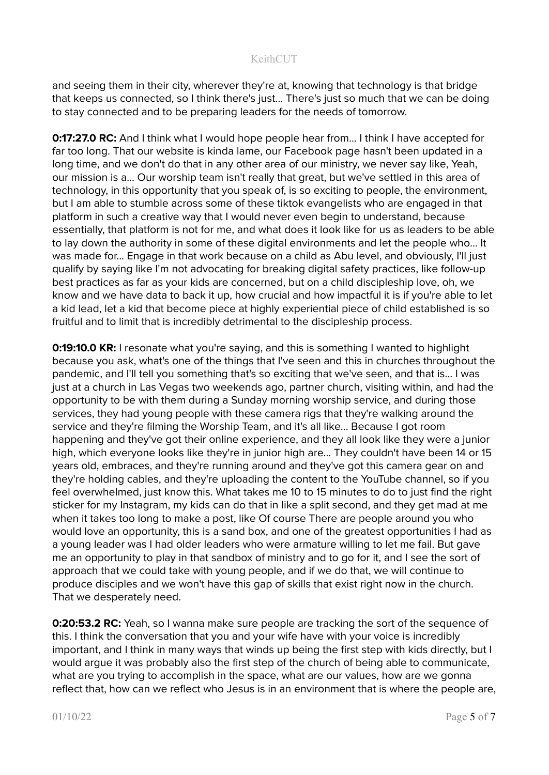and seeing them in their city, wherever they're at, knowing that technology is that bridge that keeps us connected, so I think there's just... There's just so much that we can be doing to stay connected and to be preparing leaders for the needs of tomorrow.

**0:17:27.0 RC:** And I think what I would hope people hear from... I think I have accepted for far too long. That our website is kinda lame, our Facebook page hasn't been updated in a long time, and we don't do that in any other area of our ministry, we never say like, Yeah, our mission is a... Our worship team isn't really that great, but we've settled in this area of technology, in this opportunity that you speak of, is so exciting to people, the environment, but I am able to stumble across some of these tiktok evangelists who are engaged in that platform in such a creative way that I would never even begin to understand, because essentially, that platform is not for me, and what does it look like for us as leaders to be able to lay down the authority in some of these digital environments and let the people who... It was made for... Engage in that work because on a child as Abu level, and obviously, I'll just qualify by saying like I'm not advocating for breaking digital safety practices, like follow-up best practices as far as your kids are concerned, but on a child discipleship love, oh, we know and we have data to back it up, how crucial and how impactful it is if you're able to let a kid lead, let a kid that become piece at highly experiential piece of child established is so fruitful and to limit that is incredibly detrimental to the discipleship process.

**0:19:10.0 KR:** I resonate what you're saying, and this is something I wanted to highlight because you ask, what's one of the things that I've seen and this in churches throughout the pandemic, and I'll tell you something that's so exciting that we've seen, and that is... I was just at a church in Las Vegas two weekends ago, partner church, visiting within, and had the opportunity to be with them during a Sunday morning worship service, and during those services, they had young people with these camera rigs that they're walking around the service and they're filming the Worship Team, and it's all like... Because I got room happening and they've got their online experience, and they all look like they were a junior high, which everyone looks like they're in junior high are... They couldn't have been 14 or 15 years old, embraces, and they're running around and they've got this camera gear on and they're holding cables, and they're uploading the content to the YouTube channel, so if you feel overwhelmed, just know this. What takes me 10 to 15 minutes to do to just find the right sticker for my Instagram, my kids can do that in like a split second, and they get mad at me when it takes too long to make a post, like Of course There are people around you who would love an opportunity, this is a sand box, and one of the greatest opportunities I had as a young leader was I had older leaders who were armature willing to let me fail. But gave me an opportunity to play in that sandbox of ministry and to go for it, and I see the sort of approach that we could take with young people, and if we do that, we will continue to produce disciples and we won't have this gap of skills that exist right now in the church. That we desperately need.

**0:20:53.2 RC:** Yeah, so I wanna make sure people are tracking the sort of the sequence of this. I think the conversation that you and your wife have with your voice is incredibly important, and I think in many ways that winds up being the first step with kids directly, but I would argue it was probably also the first step of the church of being able to communicate, what are you trying to accomplish in the space, what are our values, how are we gonna reflect that, how can we reflect who Jesus is in an environment that is where the people are,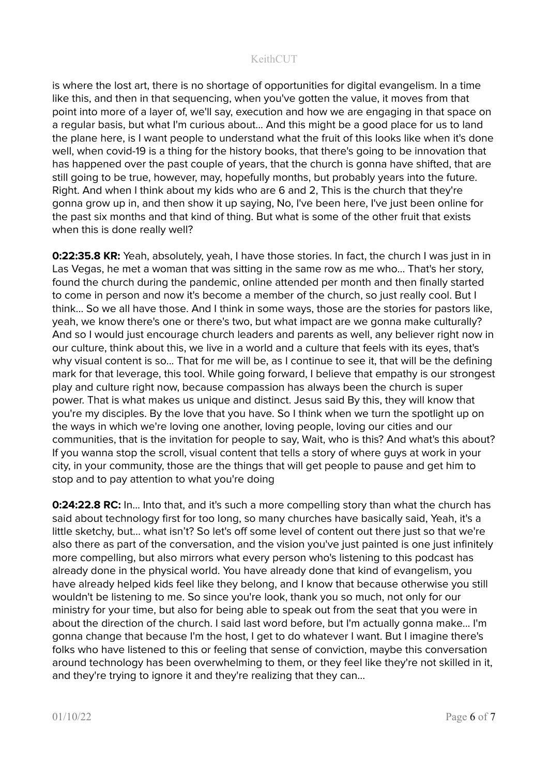is where the lost art, there is no shortage of opportunities for digital evangelism. In a time like this, and then in that sequencing, when you've gotten the value, it moves from that point into more of a layer of, we'll say, execution and how we are engaging in that space on a regular basis, but what I'm curious about... And this might be a good place for us to land the plane here, is I want people to understand what the fruit of this looks like when it's done well, when covid-19 is a thing for the history books, that there's going to be innovation that has happened over the past couple of years, that the church is gonna have shifted, that are still going to be true, however, may, hopefully months, but probably years into the future. Right. And when I think about my kids who are 6 and 2, This is the church that they're gonna grow up in, and then show it up saying, No, I've been here, I've just been online for the past six months and that kind of thing. But what is some of the other fruit that exists when this is done really well?

**0:22:35.8 KR:** Yeah, absolutely, yeah, I have those stories. In fact, the church I was just in in Las Vegas, he met a woman that was sitting in the same row as me who... That's her story, found the church during the pandemic, online attended per month and then finally started to come in person and now it's become a member of the church, so just really cool. But I think... So we all have those. And I think in some ways, those are the stories for pastors like, yeah, we know there's one or there's two, but what impact are we gonna make culturally? And so I would just encourage church leaders and parents as well, any believer right now in our culture, think about this, we live in a world and a culture that feels with its eyes, that's why visual content is so... That for me will be, as I continue to see it, that will be the defining mark for that leverage, this tool. While going forward, I believe that empathy is our strongest play and culture right now, because compassion has always been the church is super power. That is what makes us unique and distinct. Jesus said By this, they will know that you're my disciples. By the love that you have. So I think when we turn the spotlight up on the ways in which we're loving one another, loving people, loving our cities and our communities, that is the invitation for people to say, Wait, who is this? And what's this about? If you wanna stop the scroll, visual content that tells a story of where guys at work in your city, in your community, those are the things that will get people to pause and get him to stop and to pay attention to what you're doing

**0:24:22.8 RC:** In... Into that, and it's such a more compelling story than what the church has said about technology first for too long, so many churches have basically said, Yeah, it's a little sketchy, but... what isn't? So let's off some level of content out there just so that we're also there as part of the conversation, and the vision you've just painted is one just infinitely more compelling, but also mirrors what every person who's listening to this podcast has already done in the physical world. You have already done that kind of evangelism, you have already helped kids feel like they belong, and I know that because otherwise you still wouldn't be listening to me. So since you're look, thank you so much, not only for our ministry for your time, but also for being able to speak out from the seat that you were in about the direction of the church. I said last word before, but I'm actually gonna make... I'm gonna change that because I'm the host, I get to do whatever I want. But I imagine there's folks who have listened to this or feeling that sense of conviction, maybe this conversation around technology has been overwhelming to them, or they feel like they're not skilled in it, and they're trying to ignore it and they're realizing that they can...